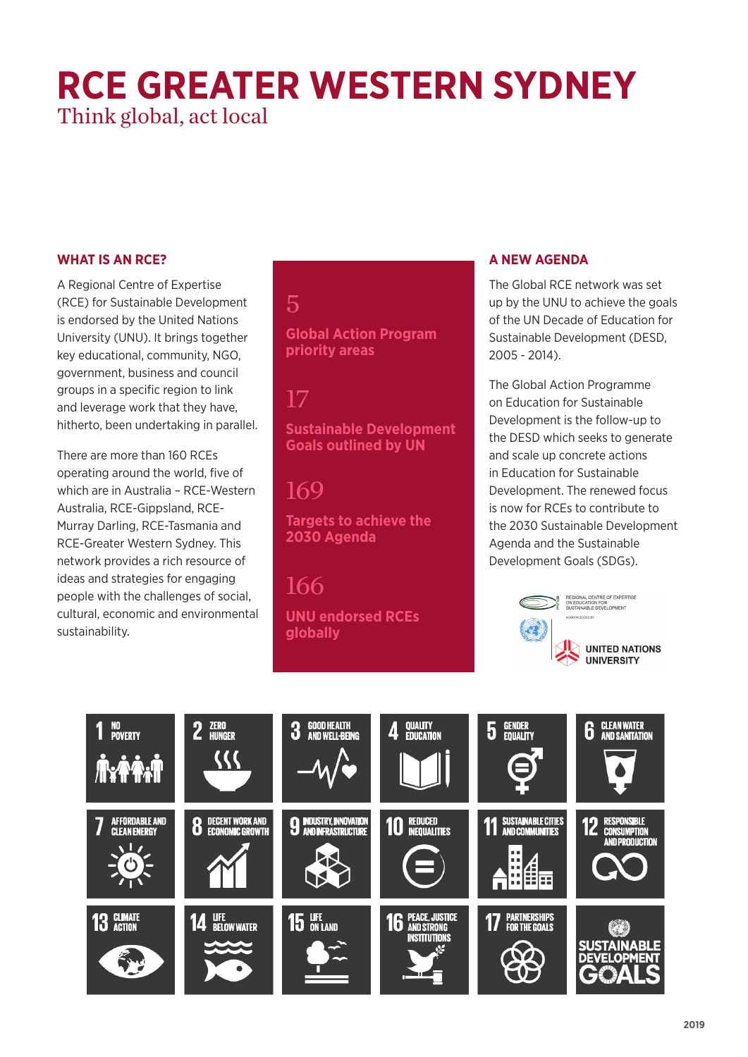# **RCE GREATER WESTERN SYDNEY** Think global, act local

#### **WHAT IS AN RCE?**

A Regional Centre of Expertise (RCE) for Sustainable Development is endorsed by the United Nations University (UNU). It brings together key educational, community, NGO, government, business and council groups in a specific region to link and leverage work that they have, hitherto, been undertaking in parallel.

There are more than 160 RCEs operating around the world, five of which are in Australia – RCE-Western Australia, RCE-Gippsland, RCE-Murray Darling, RCE-Tasmania and RCE-Greater Western Sydney. This network provides a rich resource of ideas and strategies for engaging people with the challenges of social, cultural, economic and environmental sustainability.

#### 5

**Global Action Program priority areas**

### 17

**Sustainable Development Goals outlined by UN**

## 169

**Targets to achieve the 2030 Agenda**

#### 166 **UNU endorsed RCEs globally**

#### **A NEW AGENDA**

The Global RCE network was set up by the UNU to achieve the goals of the UN Decade of Education for Sustainable Development (DESD, 2005 - 2014).

The Global Action Programme on Education for Sustainable Development is the follow-up to the DESD which seeks to generate and scale up concrete actions in Education for Sustainable Development. The renewed focus is now for RCEs to contribute to the 2030 Sustainable Development Agenda and the Sustainable Development Goals (SDGs).



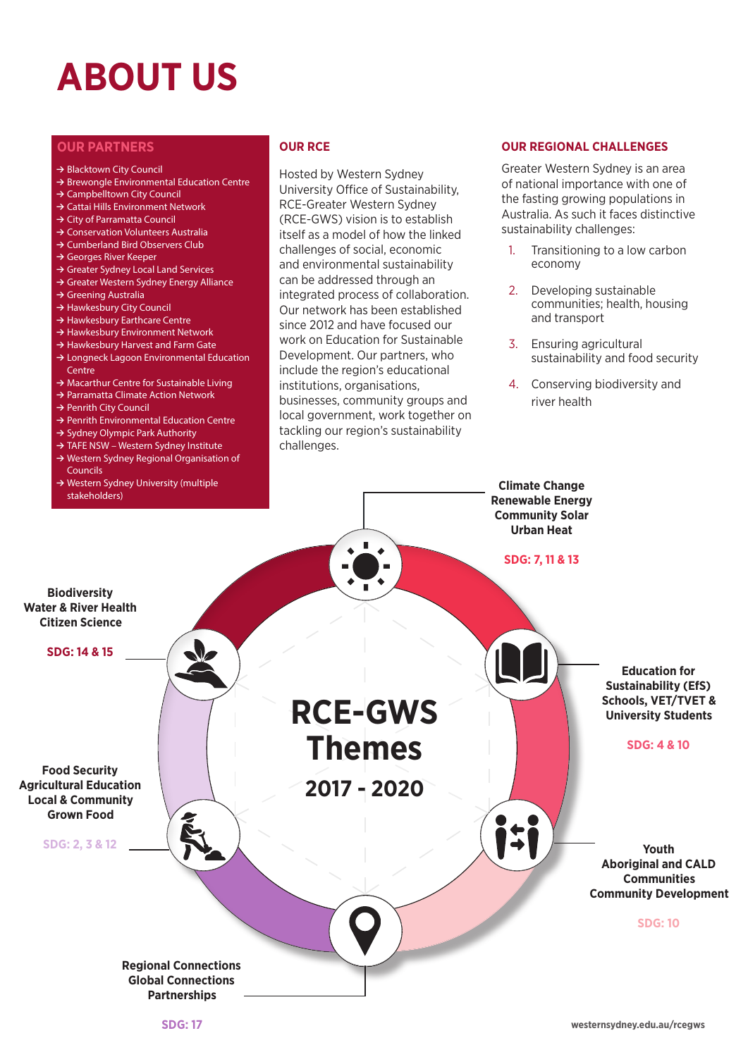# **ABOUT US**

#### **OUR PARTNERS OUR RCE**

#### **≥** Blacktown City Council

- **≥** Brewongle Environmental Education Centre
- **≥** Campbelltown City Council
- **≥** Cattai Hills Environment Network
- **≥** City of Parramatta Council
- **≥** Conservation Volunteers Australia
- **≥** Cumberland Bird Observers Club
- **≥** Georges River Keeper
- **≥** Greater Sydney Local Land Services
- **≥** Greater Western Sydney Energy Alliance
- **≥** Greening Australia
- **≥** Hawkesbury City Council
- **≥** Hawkesbury Earthcare Centre
- **≥** Hawkesbury Environment Network
- **≥** Hawkesbury Harvest and Farm Gate
- **≥** Longneck Lagoon Environmental Education Centre
- **≥** Macarthur Centre for Sustainable Living
- **≥** Parramatta Climate Action Network
- **≥** Penrith City Council
- **≥** Penrith Environmental Education Centre
- **≥** Sydney Olympic Park Authority
- **≥** TAFE NSW Western Sydney Institute
- **≥** Western Sydney Regional Organisation of **Councils**
- **≥** Western Sydney University (multiple stakeholders)

Hosted by Western Sydney University Office of Sustainability, RCE-Greater Western Sydney (RCE-GWS) vision is to establish itself as a model of how the linked challenges of social, economic and environmental sustainability can be addressed through an integrated process of collaboration. Our network has been established since 2012 and have focused our work on Education for Sustainable Development. Our partners, who include the region's educational institutions, organisations, businesses, community groups and local government, work together on tackling our region's sustainability challenges.

#### **OUR REGIONAL CHALLENGES**

Greater Western Sydney is an area of national importance with one of the fasting growing populations in Australia. As such it faces distinctive sustainability challenges:

- 1. Transitioning to a low carbon economy
- 2. Developing sustainable communities; health, housing and transport
- 3. Ensuring agricultural sustainability and food security
- 4. Conserving biodiversity and river health



**SDG: 17**